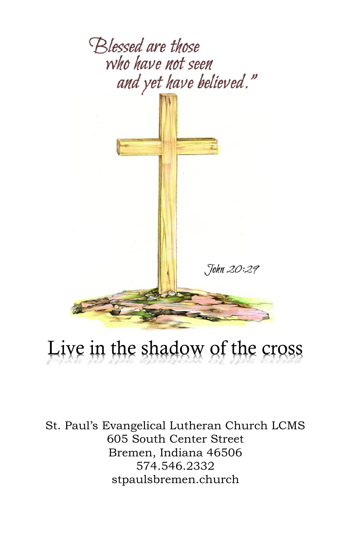

# Live in the shadow of the cross

St. Paul's Evangelical Lutheran Church LCMS 605 South Center Street Bremen, Indiana 46506 574.546.2332 stpaulsbremen.church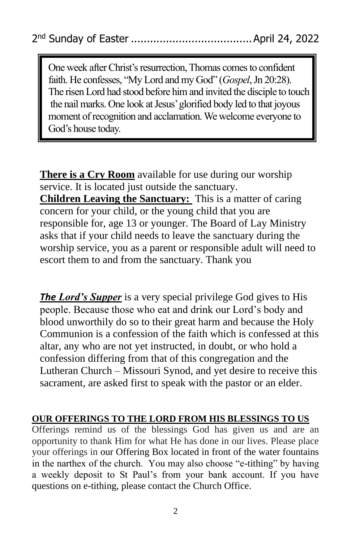One week after Christ's resurrection, Thomas comes to confident faith. He confesses, "My Lord and my God" (*Gospel*, Jn 20:28). The risen Lord had stood before him and invited the disciple to touch the nail marks. One look at Jesus' glorified body led to that joyous moment of recognition and acclamation. We welcome everyone to God's house today.

**There is a Cry Room** available for use during our worship service. It is located just outside the sanctuary. **Children Leaving the Sanctuary:** This is a matter of caring concern for your child, or the young child that you are responsible for, age 13 or younger. The Board of Lay Ministry asks that if your child needs to leave the sanctuary during the worship service, you as a parent or responsible adult will need to escort them to and from the sanctuary. Thank you

*The Lord's Supper* is a very special privilege God gives to His people. Because those who eat and drink our Lord's body and blood unworthily do so to their great harm and because the Holy Communion is a confession of the faith which is confessed at this altar, any who are not yet instructed, in doubt, or who hold a confession differing from that of this congregation and the Lutheran Church – Missouri Synod, and yet desire to receive this sacrament, are asked first to speak with the pastor or an elder.

#### **OUR OFFERINGS TO THE LORD FROM HIS BLESSINGS TO US**

Offerings remind us of the blessings God has given us and are an opportunity to thank Him for what He has done in our lives. Please place your offerings in our Offering Box located in front of the water fountains in the narthex of the church. You may also choose "e-tithing" by having a weekly deposit to St Paul's from your bank account. If you have questions on e-tithing, please contact the Church Office.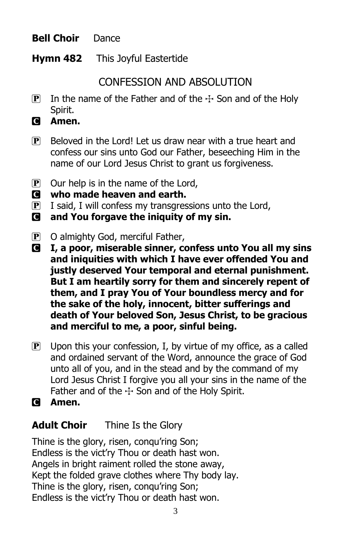#### **Bell Choir** Dance

**Hymn 482** This Joyful Eastertide

### CONFESSION AND ABSOLUTION

- **P** In the name of the Father and of the  $\pm$  Son and of the Holy Spirit.
- C **Amen.**
- P Beloved in the Lord! Let us draw near with a true heart and confess our sins unto God our Father, beseeching Him in the name of our Lord Jesus Christ to grant us forgiveness.
- $\mathbf{P}$  Our help is in the name of the Lord,
- C **who made heaven and earth.**
- $\mathbf{P}$  I said, I will confess my transgressions unto the Lord,
- C **and You forgave the iniquity of my sin.**
- P O almighty God, merciful Father,
- C **I, a poor, miserable sinner, confess unto You all my sins and iniquities with which I have ever offended You and justly deserved Your temporal and eternal punishment. But I am heartily sorry for them and sincerely repent of them, and I pray You of Your boundless mercy and for the sake of the holy, innocent, bitter sufferings and death of Your beloved Son, Jesus Christ, to be gracious and merciful to me, a poor, sinful being.**
- $\overline{P}$  Upon this your confession, I, by virtue of my office, as a called and ordained servant of the Word, announce the grace of God unto all of you, and in the stead and by the command of my Lord Jesus Christ I forgive you all your sins in the name of the Father and of the  $\pm$  Son and of the Holy Spirit.
- C **Amen.**

#### **Adult Choir** Thine Is the Glory

Thine is the glory, risen, conqu'ring Son; Endless is the vict'ry Thou or death hast won. Angels in bright raiment rolled the stone away, Kept the folded grave clothes where Thy body lay. Thine is the glory, risen, conqu'ring Son; Endless is the vict'ry Thou or death hast won.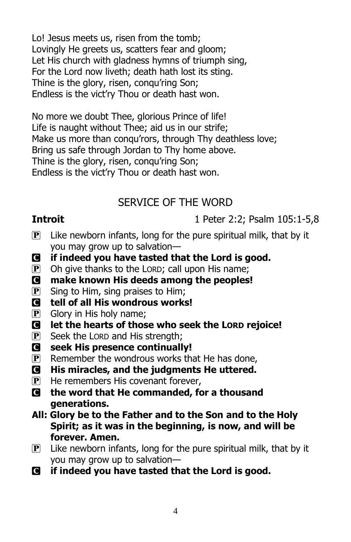Lo! Jesus meets us, risen from the tomb; Lovingly He greets us, scatters fear and gloom; Let His church with gladness hymns of triumph sing, For the Lord now liveth; death hath lost its sting. Thine is the glory, risen, conqu'ring Son; Endless is the vict'ry Thou or death hast won.

No more we doubt Thee, glorious Prince of life! Life is naught without Thee; aid us in our strife; Make us more than conqu'rors, through Thy deathless love; Bring us safe through Jordan to Thy home above. Thine is the glory, risen, conqu'ring Son; Endless is the vict'ry Thou or death hast won.

## SERVICE OF THE WORD

**Introit** 1 Peter 2:2; Psalm 105:1-5,8

- $\mathbf{P}$  Like newborn infants, long for the pure spiritual milk, that by it you may grow up to salvation—
- C **if indeed you have tasted that the Lord is good.**
- $\mathbf{P}$  Oh give thanks to the LORD; call upon His name;
- C **make known His deeds among the peoples!**
- $\overline{P}$  Sing to Him, sing praises to Him;
- C **tell of all His wondrous works!**
- $\overline{P}$  Glory in His holy name;
- C **let the hearts of those who seek the LORD rejoice!**
- $\overline{P}$  Seek the LORD and His strength;
- C **seek His presence continually!**
- $\mathbb{P}$  Remember the wondrous works that He has done,
- C **His miracles, and the judgments He uttered.**
- $\mathbf{P}$  He remembers His covenant forever,
- C **the word that He commanded, for a thousand generations.**
- **All: Glory be to the Father and to the Son and to the Holy Spirit; as it was in the beginning, is now, and will be forever. Amen.**
- $\overline{P}$  Like newborn infants, long for the pure spiritual milk, that by it you may grow up to salvation—
- C **if indeed you have tasted that the Lord is good.**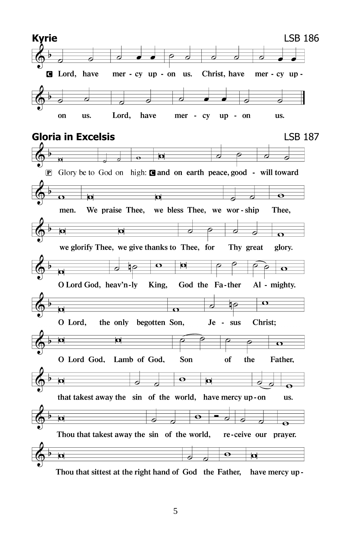

5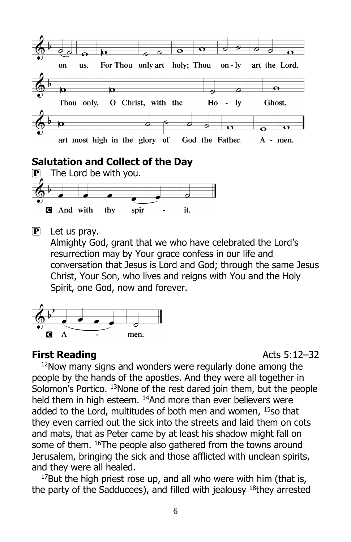

#### **Salutation and Collect of the Day**



 $\overline{P}$  Let us pray.

Almighty God, grant that we who have celebrated the Lord's resurrection may by Your grace confess in our life and conversation that Jesus is Lord and God; through the same Jesus Christ, Your Son, who lives and reigns with You and the Holy Spirit, one God, now and forever.



#### **First Reading Acts 5:12–32**

<sup>12</sup>Now many signs and wonders were regularly done among the people by the hands of the apostles. And they were all together in Solomon's Portico. <sup>13</sup>None of the rest dared join them, but the people held them in high esteem. <sup>14</sup>And more than ever believers were added to the Lord, multitudes of both men and women, 15so that they even carried out the sick into the streets and laid them on cots and mats, that as Peter came by at least his shadow might fall on some of them. <sup>16</sup>The people also gathered from the towns around Jerusalem, bringing the sick and those afflicted with unclean spirits, and they were all healed.

 $17$ But the high priest rose up, and all who were with him (that is, the party of the Sadducees), and filled with jealousy  $18$ they arrested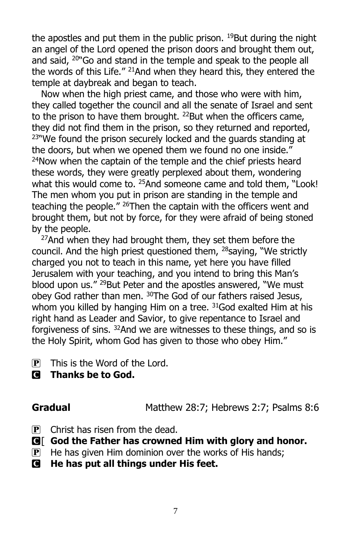the apostles and put them in the public prison.  $19$ But during the night an angel of the Lord opened the prison doors and brought them out, and said, <sup>20"</sup>Go and stand in the temple and speak to the people all the words of this Life." <sup>21</sup>And when they heard this, they entered the temple at daybreak and began to teach.

Now when the high priest came, and those who were with him, they called together the council and all the senate of Israel and sent to the prison to have them brought. <sup>22</sup>But when the officers came, they did not find them in the prison, so they returned and reported, <sup>23"</sup>We found the prison securely locked and the quards standing at the doors, but when we opened them we found no one inside."  $24$ Now when the captain of the temple and the chief priests heard these words, they were greatly perplexed about them, wondering what this would come to. <sup>25</sup>And someone came and told them, "Look! The men whom you put in prison are standing in the temple and teaching the people." <sup>26</sup>Then the captain with the officers went and brought them, but not by force, for they were afraid of being stoned by the people.

 $27$ And when they had brought them, they set them before the council. And the high priest questioned them, <sup>28</sup>saying, "We strictly charged you not to teach in this name, yet here you have filled Jerusalem with your teaching, and you intend to bring this Man's blood upon us." <sup>29</sup>But Peter and the apostles answered, "We must obey God rather than men. <sup>30</sup>The God of our fathers raised Jesus, whom you killed by hanging Him on a tree. <sup>31</sup>God exalted Him at his right hand as Leader and Savior, to give repentance to Israel and forgiveness of sins. <sup>32</sup>And we are witnesses to these things, and so is the Holy Spirit, whom God has given to those who obey Him."

- $\mathbf{P}$  This is the Word of the Lord.
- C **Thanks be to God.**

Gradual Matthew 28:7; Hebrews 2:7; Psalms 8:6

- $\mathbf{P}$  Christ has risen from the dead.
- C[ **God the Father has crowned Him with glory and honor.**
- $\mathbf{P}$  He has given Him dominion over the works of His hands;
- C **He has put all things under His feet.**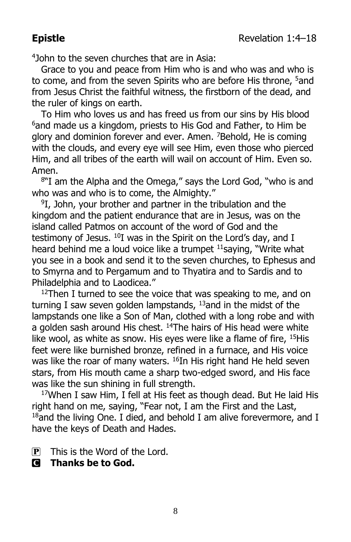4 John to the seven churches that are in Asia:

Grace to you and peace from Him who is and who was and who is to come, and from the seven Spirits who are before His throne, <sup>5</sup>and from Jesus Christ the faithful witness, the firstborn of the dead, and the ruler of kings on earth.

To Him who loves us and has freed us from our sins by His blood <sup>6</sup>and made us a kingdom, priests to His God and Father, to Him be glory and dominion forever and ever. Amen. <sup>7</sup>Behold, He is coming with the clouds, and every eye will see Him, even those who pierced Him, and all tribes of the earth will wail on account of Him. Even so. Amen.

8 "I am the Alpha and the Omega," says the Lord God, "who is and who was and who is to come, the Almighty."

9 I, John, your brother and partner in the tribulation and the kingdom and the patient endurance that are in Jesus, was on the island called Patmos on account of the word of God and the testimony of Jesus. <sup>10</sup>I was in the Spirit on the Lord's day, and I heard behind me a loud voice like a trumpet <sup>11</sup> saying, "Write what you see in a book and send it to the seven churches, to Ephesus and to Smyrna and to Pergamum and to Thyatira and to Sardis and to Philadelphia and to Laodicea."

 $12$ Then I turned to see the voice that was speaking to me, and on turning I saw seven golden lampstands,  $13$  and in the midst of the lampstands one like a Son of Man, clothed with a long robe and with a golden sash around His chest. <sup>14</sup>The hairs of His head were white like wool, as white as snow. His eyes were like a flame of fire, <sup>15</sup>His feet were like burnished bronze, refined in a furnace, and His voice was like the roar of many waters. <sup>16</sup>In His right hand He held seven stars, from His mouth came a sharp two-edged sword, and His face was like the sun shining in full strength.

<sup>17</sup>When I saw Him, I fell at His feet as though dead. But He laid His right hand on me, saying, "Fear not, I am the First and the Last,  $18$ and the living One. I died, and behold I am alive forevermore, and I have the keys of Death and Hades.

 $\overline{P}$  This is the Word of the Lord.

C **Thanks be to God.**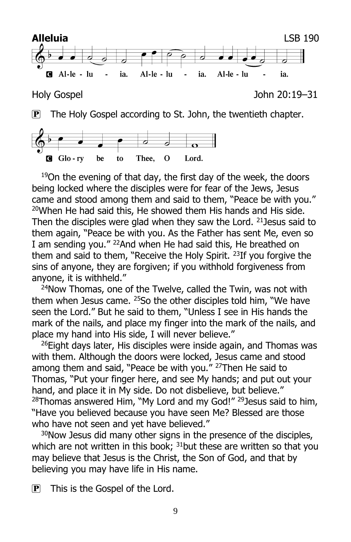



 $19$ On the evening of that day, the first day of the week, the doors being locked where the disciples were for fear of the Jews, Jesus came and stood among them and said to them, "Peace be with you." <sup>20</sup>When He had said this, He showed them His hands and His side. Then the disciples were glad when they saw the Lord.  $21$  Jesus said to them again, "Peace be with you. As the Father has sent Me, even so I am sending you." <sup>22</sup>And when He had said this, He breathed on them and said to them, "Receive the Holy Spirit.<sup>23</sup>If you forgive the sins of anyone, they are forgiven; if you withhold forgiveness from anyone, it is withheld."

<sup>24</sup>Now Thomas, one of the Twelve, called the Twin, was not with them when Jesus came. <sup>25</sup>So the other disciples told him, "We have seen the Lord." But he said to them, "Unless I see in His hands the mark of the nails, and place my finger into the mark of the nails, and place my hand into His side, I will never believe."

<sup>26</sup>Eight days later, His disciples were inside again, and Thomas was with them. Although the doors were locked, Jesus came and stood among them and said, "Peace be with you." <sup>27</sup>Then He said to Thomas, "Put your finger here, and see My hands; and put out your hand, and place it in My side. Do not disbelieve, but believe." <sup>28</sup>Thomas answered Him, "My Lord and my God!" <sup>29</sup>Jesus said to him, "Have you believed because you have seen Me? Blessed are those who have not seen and yet have believed."

 $30$ Now Jesus did many other signs in the presence of the disciples, which are not written in this book;  $31$  but these are written so that you may believe that Jesus is the Christ, the Son of God, and that by believing you may have life in His name.

P This is the Gospel of the Lord.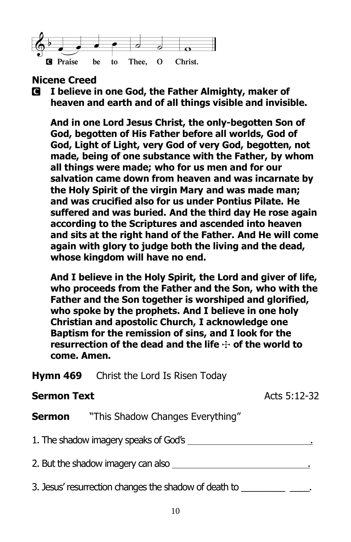

#### **Nicene Creed**

C **I believe in one God, the Father Almighty, maker of heaven and earth and of all things visible and invisible.**

**And in one Lord Jesus Christ, the only-begotten Son of God, begotten of His Father before all worlds, God of God, Light of Light, very God of very God, begotten, not made, being of one substance with the Father, by whom all things were made; who for us men and for our salvation came down from heaven and was incarnate by the Holy Spirit of the virgin Mary and was made man; and was crucified also for us under Pontius Pilate. He suffered and was buried. And the third day He rose again according to the Scriptures and ascended into heaven and sits at the right hand of the Father. And He will come again with glory to judge both the living and the dead, whose kingdom will have no end.**

**And I believe in the Holy Spirit, the Lord and giver of life, who proceeds from the Father and the Son, who with the Father and the Son together is worshiped and glorified, who spoke by the prophets. And I believe in one holy Christian and apostolic Church, I acknowledge one Baptism for the remission of sins, and I look for the**  resurrection of the dead and the life  $\div$  of the world to **come. Amen.**

**Hymn 469** Christ the Lord Is Risen Today

#### **Sermon Text** Acts 5:12-32

**Sermon** "This Shadow Changes Everything"

1. The shadow imagery speaks of God's .

2. But the shadow imagery can also .

3. Jesus' resurrection changes the shadow of death to  $\qquad \qquad$ .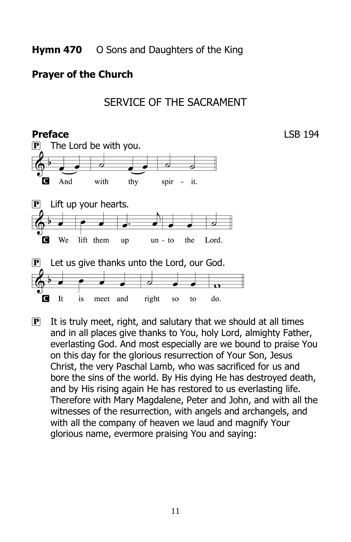#### **Prayer of the Church**





 $\mathbf{P}$  It is truly meet, right, and salutary that we should at all times and in all places give thanks to You, holy Lord, almighty Father, everlasting God. And most especially are we bound to praise You on this day for the glorious resurrection of Your Son, Jesus Christ, the very Paschal Lamb, who was sacrificed for us and bore the sins of the world. By His dying He has destroyed death, and by His rising again He has restored to us everlasting life. Therefore with Mary Magdalene, Peter and John, and with all the witnesses of the resurrection, with angels and archangels, and with all the company of heaven we laud and magnify Your glorious name, evermore praising You and saying: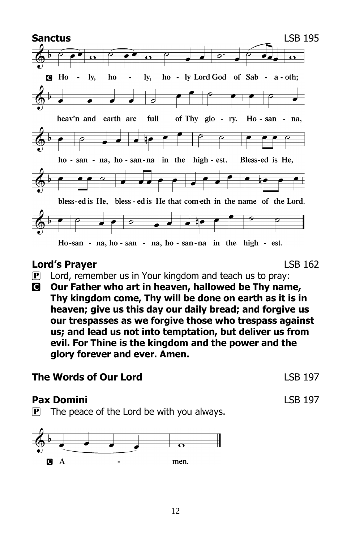

#### **Lord's Prayer** LSB 162

- $\mathbf{P}$  Lord, remember us in Your kingdom and teach us to pray:
- C **Our Father who art in heaven, hallowed be Thy name, Thy kingdom come, Thy will be done on earth as it is in heaven; give us this day our daily bread; and forgive us our trespasses as we forgive those who trespass against us; and lead us not into temptation, but deliver us from evil. For Thine is the kingdom and the power and the glory forever and ever. Amen.**

#### **The Words of Our Lord LSB 197**

#### **Pax Domini** LSB 197

 $\mathbf{P}$  The peace of the Lord be with you always.

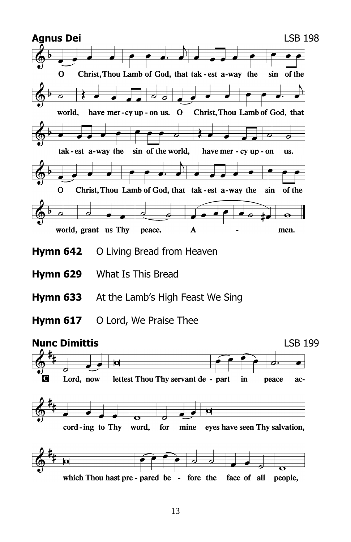

- **Hymn 642** O Living Bread from Heaven
- **Hymn 629** What Is This Bread
- **Hymn 633** At the Lamb's High Feast We Sing
- **Hymn 617** O Lord, We Praise Thee

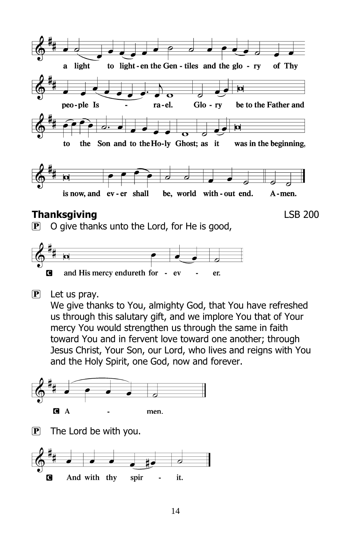

#### **Thanksgiving** LSB 200

 $\mathbf{P}$  O give thanks unto the Lord, for He is good,



 $\mathbf{P}$  Let us pray.

We give thanks to You, almighty God, that You have refreshed us through this salutary gift, and we implore You that of Your mercy You would strengthen us through the same in faith toward You and in fervent love toward one another; through Jesus Christ, Your Son, our Lord, who lives and reigns with You and the Holy Spirit, one God, now and forever.

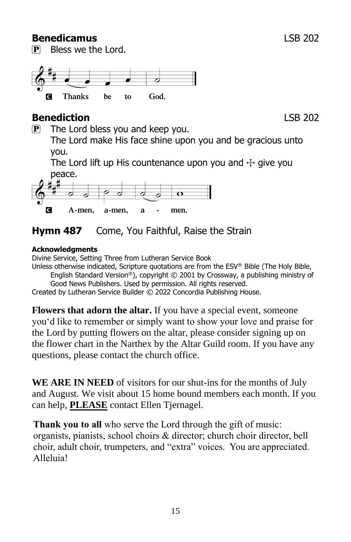#### **Benedicamus** LSB 202

P Bless we the Lord.

#### Thanks he to God. П

### **Benediction** LSB 202

 $\mathbf{P}$  The Lord bless you and keep you.

The Lord make His face shine upon you and be gracious unto you.

The Lord lift up His countenance upon you and  $\pm$  give you peace.



## **Hymn 487** Come, You Faithful, Raise the Strain

#### **Acknowledgments**

Divine Service, Setting Three from Lutheran Service Book

Unless otherwise indicated, Scripture quotations are from the ESV® Bible (The Holy Bible, English Standard Version®), copyright © 2001 by Crossway, a publishing ministry of

Good News Publishers. Used by permission. All rights reserved.

Created by Lutheran Service Builder © 2022 Concordia Publishing House.

**Flowers that adorn the altar.** If you have a special event, someone you'd like to remember or simply want to show your love and praise for the Lord by putting flowers on the altar, please consider signing up on the flower chart in the Narthex by the Altar Guild room. If you have any questions, please contact the church office.

**WE ARE IN NEED** of visitors for our shut-ins for the months of July and August. We visit about 15 home bound members each month. If you can help, **PLEASE** contact Ellen Tjernagel.

**Thank you to all** who serve the Lord through the gift of music: organists, pianists, school choirs & director; church choir director, bell choir, adult choir, trumpeters, and "extra" voices. You are appreciated. Alleluia!

15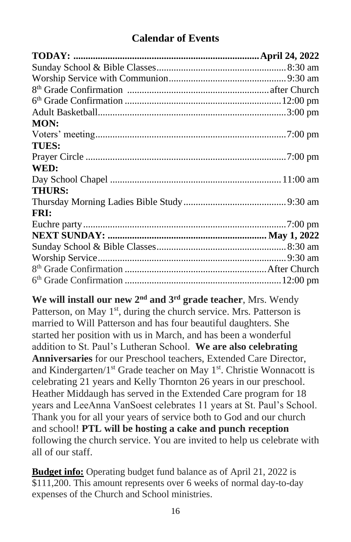#### **Calendar of Events**

| MON:          |  |
|---------------|--|
|               |  |
| <b>TUES:</b>  |  |
|               |  |
| WED:          |  |
|               |  |
| <b>THURS:</b> |  |
|               |  |
| FRI:          |  |
|               |  |
|               |  |
|               |  |
|               |  |
|               |  |
|               |  |

**We will install our new 2nd and 3rd grade teacher**, Mrs. Wendy Patterson, on May  $1<sup>st</sup>$ , during the church service. Mrs. Patterson is married to Will Patterson and has four beautiful daughters. She started her position with us in March, and has been a wonderful addition to St. Paul's Lutheran School. **We are also celebrating Anniversaries** for our Preschool teachers, Extended Care Director, and Kindergarten/ $1<sup>st</sup>$  Grade teacher on May  $1<sup>st</sup>$ . Christie Wonnacott is celebrating 21 years and Kelly Thornton 26 years in our preschool. Heather Middaugh has served in the Extended Care program for 18 years and LeeAnna VanSoest celebrates 11 years at St. Paul's School. Thank you for all your years of service both to God and our church and school! **PTL will be hosting a cake and punch reception** following the church service. You are invited to help us celebrate with all of our staff.

**Budget info:** Operating budget fund balance as of April 21, 2022 is \$111,200. This amount represents over 6 weeks of normal day-to-day expenses of the Church and School ministries.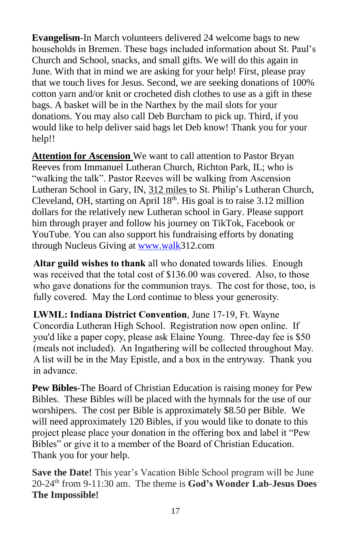**Evangelism**-In March volunteers delivered 24 welcome bags to new households in Bremen. These bags included information about St. Paul's Church and School, snacks, and small gifts. We will do this again in June. With that in mind we are asking for your help! First, please pray that we touch lives for Jesus. Second, we are seeking donations of 100% cotton yarn and/or knit or crocheted dish clothes to use as a gift in these bags. A basket will be in the Narthex by the mail slots for your donations. You may also call Deb Burcham to pick up. Third, if you would like to help deliver said bags let Deb know! Thank you for your help!!

**Attention for Ascension** We want to call attention to Pastor Bryan Reeves from Immanuel Lutheran Church, Richton Park, IL; who is "walking the talk". Pastor Reeves will be walking from Ascension Lutheran School in Gary, IN, 312 miles to St. Philip's Lutheran Church, Cleveland, OH, starting on April  $18<sup>th</sup>$ . His goal is to raise 3.12 million dollars for the relatively new Lutheran school in Gary. Please support him through prayer and follow his journey on TikTok, Facebook or YouTube. You can also support his fundraising efforts by donating through Nucleus Giving at [www.walk3](http://www.walk/)12.com

**Altar guild wishes to thank** all who donated towards lilies. Enough was received that the total cost of \$136.00 was covered. Also, to those who gave donations for the communion trays. The cost for those, too, is fully covered. May the Lord continue to bless your generosity.

**LWML: Indiana District Convention**, June 17-19, Ft. Wayne Concordia Lutheran High School. Registration now open online. If you'd like a paper copy, please ask Elaine Young. Three-day fee is \$50 (meals not included). An Ingathering will be collected throughout May. A list will be in the May Epistle, and a box in the entryway. Thank you in advance.

**Pew Bibles**-The Board of Christian Education is raising money for Pew Bibles. These Bibles will be placed with the hymnals for the use of our worshipers. The cost per Bible is approximately \$8.50 per Bible. We will need approximately 120 Bibles, if you would like to donate to this project please place your donation in the offering box and label it "Pew Bibles" or give it to a member of the Board of Christian Education. Thank you for your help.

**Save the Date!** This year's Vacation Bible School program will be June 20-24th from 9-11:30 am. The theme is **God's Wonder Lab-Jesus Does The Impossible!**